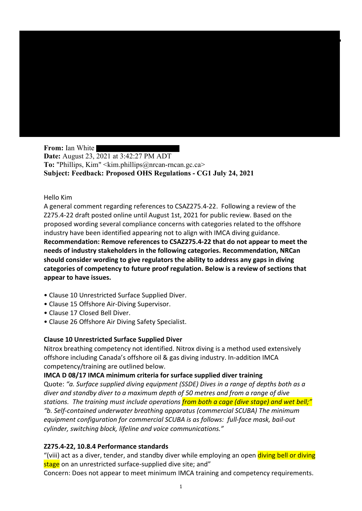From: Ian White Date: August 23, 2021 at 3:42:27 PM ADT To: "Phillips, Kim" <kim.phillips@nrcan-rncan.gc.ca> Subject: Feedback: Proposed OHS Regulations - CG1 July 24, 2021

### Hello Kim

A general comment regarding references to CSAZ275.4-22. Following a review of the Z275.4-22 draft posted online until August 1st, 2021 for public review. Based on the proposed wording several compliance concerns with categories related to the offshore industry have been identified appearing not to align with IMCA diving guidance. Recommendation: Remove references to CSAZ275.4-22 that do not appear to meet the needs of industry stakeholders in the following categories. Recommendation, NRCan should consider wording to give regulators the ability to address any gaps in diving categories of competency to future proof regulation. Below is a review of sections that appear to have issues.

- Clause 10 Unrestricted Surface Supplied Diver.
- Clause 15 Offshore Air-Diving Supervisor.
- Clause 17 Closed Bell Diver.
- Clause 26 Offshore Air Diving Safety Specialist.

# Clause 10 Unrestricted Surface Supplied Diver

Nitrox breathing competency not identified. Nitrox diving is a method used extensively offshore including Canada's offshore oil & gas diving industry. In-addition IMCA competency/training are outlined below.

# IMCA D 08/17 IMCA minimum criteria for surface supplied diver training

Quote: "a. Surface supplied diving equipment (SSDE) Dives in a range of depths both as a diver and standby diver to a maximum depth of 50 metres and from a range of dive stations. The training must include operations from both a cage (dive stage) and wet bell;" "b. Self-contained underwater breathing apparatus (commercial SCUBA) The minimum equipment configuration for commercial SCUBA is as follows: full-face mask, bail-out cylinder, switching block, lifeline and voice communications."

# Z275.4-22, 10.8.4 Performance standards

"(viii) act as a diver, tender, and standby diver while employing an open diving bell or diving stage on an unrestricted surface-supplied dive site; and"

Concern: Does not appear to meet minimum IMCA training and competency requirements.